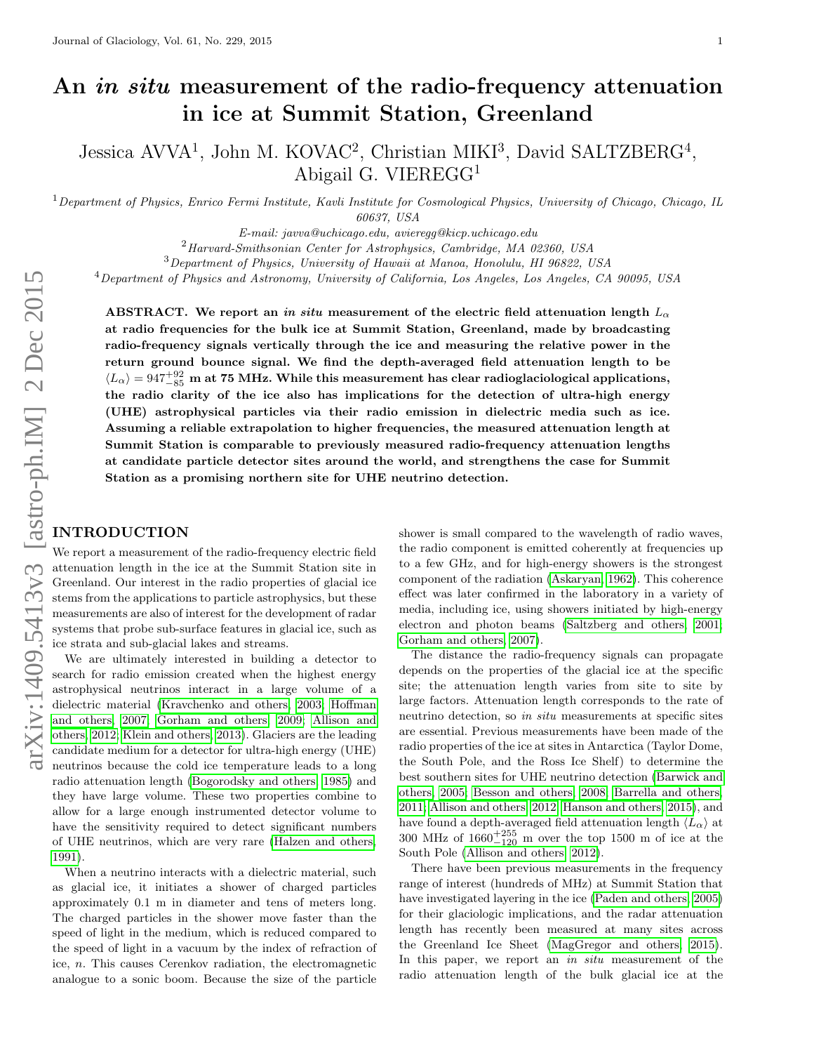# An *in situ* measurement of the radio-frequency attenuation in ice at Summit Station, Greenland

Jessica AVVA<sup>1</sup>, John M. KOVAC<sup>2</sup>, Christian MIKI<sup>3</sup>, David SALTZBERG<sup>4</sup>, Abigail G. VIEREGG<sup>1</sup>

 $1$ Department of Physics, Enrico Fermi Institute, Kavli Institute for Cosmological Physics, University of Chicago, Chicago, IL 60637, USA

E-mail: javva@uchicago.edu, avieregg@kicp.uchicago.edu

<sup>2</sup>Harvard-Smithsonian Center for Astrophysics, Cambridge, MA 02360, USA

<sup>3</sup>Department of Physics, University of Hawaii at Manoa, Honolulu, HI 96822, USA

 $^4$ Department of Physics and Astronomy, University of California, Los Angeles, Los Angeles, CA 90095, USA

ABSTRACT. We report an in situ measurement of the electric field attenuation length  $L_{\alpha}$ at radio frequencies for the bulk ice at Summit Station, Greenland, made by broadcasting radio-frequency signals vertically through the ice and measuring the relative power in the return ground bounce signal. We find the depth-averaged field attenuation length to be  $\langle L_\alpha \rangle = 947^{+92}_{-85}$  m at 75 MHz. While this measurement has clear radioglaciological applications, the radio clarity of the ice also has implications for the detection of ultra-high energy (UHE) astrophysical particles via their radio emission in dielectric media such as ice. Assuming a reliable extrapolation to higher frequencies, the measured attenuation length at Summit Station is comparable to previously measured radio-frequency attenuation lengths at candidate particle detector sites around the world, and strengthens the case for Summit Station as a promising northern site for UHE neutrino detection.

#### INTRODUCTION

We report a measurement of the radio-frequency electric field attenuation length in the ice at the Summit Station site in Greenland. Our interest in the radio properties of glacial ice stems from the applications to particle astrophysics, but these measurements are also of interest for the development of radar systems that probe sub-surface features in glacial ice, such as ice strata and sub-glacial lakes and streams.

We are ultimately interested in building a detector to search for radio emission created when the highest energy astrophysical neutrinos interact in a large volume of a dielectric material [\(Kravchenko and others, 2003;](#page-7-0) [Hoffman](#page-7-1) [and others, 2007;](#page-7-1) [Gorham and others, 2009;](#page-6-0) [Allison and](#page-6-1) [others, 2012;](#page-6-1) [Klein and others, 2013\)](#page-7-2). Glaciers are the leading candidate medium for a detector for ultra-high energy (UHE) neutrinos because the cold ice temperature leads to a long radio attenuation length [\(Bogorodsky and others, 1985\)](#page-6-2) and they have large volume. These two properties combine to allow for a large enough instrumented detector volume to have the sensitivity required to detect significant numbers of UHE neutrinos, which are very rare [\(Halzen and others,](#page-7-3) [1991\)](#page-7-3).

When a neutrino interacts with a dielectric material, such as glacial ice, it initiates a shower of charged particles approximately 0.1 m in diameter and tens of meters long. The charged particles in the shower move faster than the speed of light in the medium, which is reduced compared to the speed of light in a vacuum by the index of refraction of ice, n. This causes Cerenkov radiation, the electromagnetic analogue to a sonic boom. Because the size of the particle shower is small compared to the wavelength of radio waves, the radio component is emitted coherently at frequencies up to a few GHz, and for high-energy showers is the strongest component of the radiation [\(Askaryan, 1962\)](#page-6-3). This coherence effect was later confirmed in the laboratory in a variety of media, including ice, using showers initiated by high-energy electron and photon beams [\(Saltzberg and others, 2001;](#page-7-4) [Gorham and others, 2007\)](#page-6-4).

The distance the radio-frequency signals can propagate depends on the properties of the glacial ice at the specific site; the attenuation length varies from site to site by large factors. Attenuation length corresponds to the rate of neutrino detection, so in situ measurements at specific sites are essential. Previous measurements have been made of the radio properties of the ice at sites in Antarctica (Taylor Dome, the South Pole, and the Ross Ice Shelf) to determine the best southern sites for UHE neutrino detection [\(Barwick and](#page-6-5) [others, 2005;](#page-6-5) [Besson and others, 2008;](#page-6-6) [Barrella and others,](#page-6-7) [2011;](#page-6-7) [Allison and others, 2012;](#page-6-1) [Hanson and others, 2015\)](#page-7-5), and have found a depth-averaged field attenuation length  $\langle L_{\alpha} \rangle$  at 300 MHz of  $1660^{+255}_{-120}$  m over the top 1500 m of ice at the South Pole [\(Allison and others, 2012\)](#page-6-1).

There have been previous measurements in the frequency range of interest (hundreds of MHz) at Summit Station that have investigated layering in the ice [\(Paden and others, 2005\)](#page-7-6) for their glaciologic implications, and the radar attenuation length has recently been measured at many sites across the Greenland Ice Sheet [\(MagGregor and others, 2015\)](#page-7-7). In this paper, we report an in situ measurement of the radio attenuation length of the bulk glacial ice at the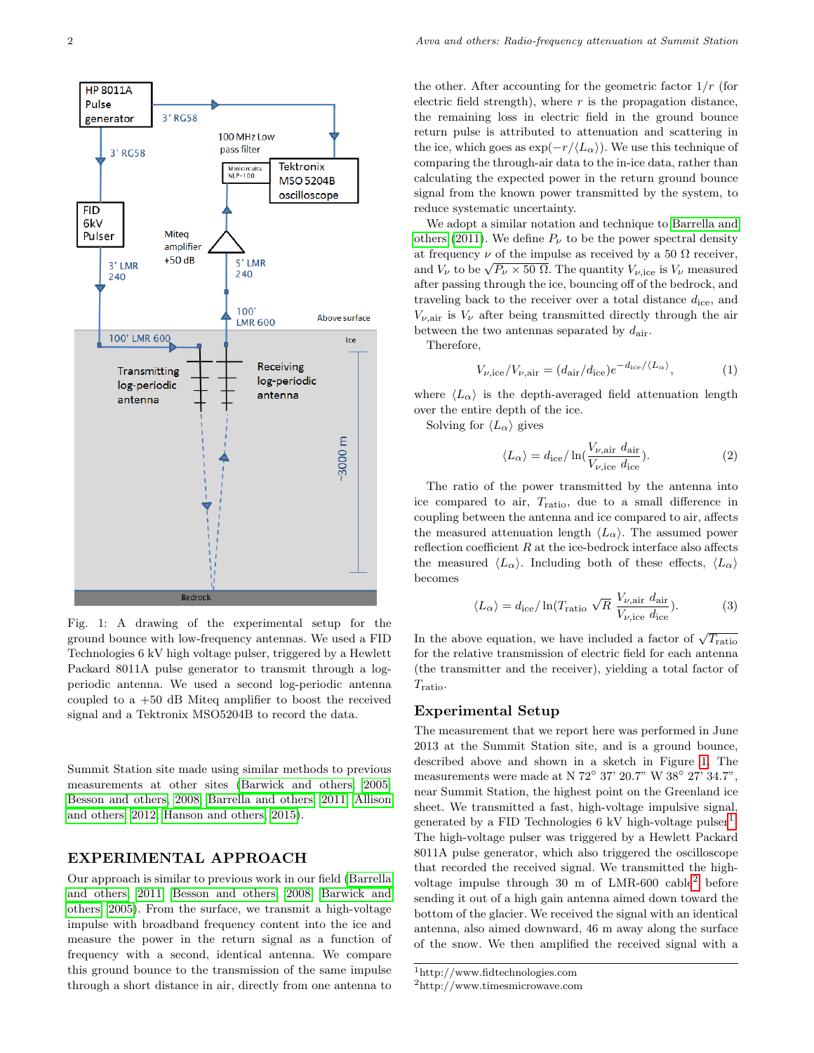<span id="page-1-0"></span>

Fig. 1: A drawing of the experimental setup for the ground bounce with low-frequency antennas. We used a FID Technologies 6 kV high voltage pulser, triggered by a Hewlett Packard 8011A pulse generator to transmit through a logperiodic antenna. We used a second log-periodic antenna coupled to a  $+50$  dB Miteq amplifier to boost the received signal and a Tektronix MSO5204B to record the data.

Summit Station site made using similar methods to previous measurements at other sites [\(Barwick and others, 2005;](#page-6-5) [Besson and others, 2008;](#page-6-6) [Barrella and others, 2011;](#page-6-7) [Allison](#page-6-1) [and others, 2012;](#page-6-1) [Hanson and others, 2015\)](#page-7-5).

### EXPERIMENTAL APPROACH

Our approach is similar to previous work in our field [\(Barrella](#page-6-7) [and others, 2011;](#page-6-7) [Besson and others, 2008;](#page-6-6) [Barwick and](#page-6-5) [others, 2005\)](#page-6-5). From the surface, we transmit a high-voltage impulse with broadband frequency content into the ice and measure the power in the return signal as a function of frequency with a second, identical antenna. We compare this ground bounce to the transmission of the same impulse through a short distance in air, directly from one antenna to

the other. After accounting for the geometric factor  $1/r$  (for electric field strength), where  $r$  is the propagation distance, the remaining loss in electric field in the ground bounce return pulse is attributed to attenuation and scattering in the ice, which goes as  $\exp(-r/\langle L_{\alpha} \rangle)$ . We use this technique of comparing the through-air data to the in-ice data, rather than calculating the expected power in the return ground bounce signal from the known power transmitted by the system, to reduce systematic uncertainty.

We adopt a similar notation and technique to [Barrella and](#page-6-7) [others](#page-6-7) [\(2011\)](#page-6-7). We define  $P_{\nu}$  to be the power spectral density at frequency  $\nu$  of the impulse as received by a 50  $\Omega$  receiver, at frequency  $\nu$  of the impulse as received by a 50  $\Omega$  receiver,<br>and  $V_{\nu}$  to be  $\sqrt{P_{\nu} \times 50 \Omega}$ . The quantity  $V_{\nu,ice}$  is  $V_{\nu}$  measured after passing through the ice, bouncing off of the bedrock, and traveling back to the receiver over a total distance  $d_{\text{ice}}$ , and  $V_{\nu,air}$  is  $V_{\nu}$  after being transmitted directly through the air between the two antennas separated by  $d_{\text{air}}$ .

Therefore,

$$
V_{\nu,\text{ice}}/V_{\nu,\text{air}} = (d_{\text{air}}/d_{\text{ice}})e^{-d_{\text{ice}}/\langle L_{\alpha} \rangle},\tag{1}
$$

where  $\langle L_{\alpha} \rangle$  is the depth-averaged field attenuation length over the entire depth of the ice.

Solving for  $\langle L_{\alpha} \rangle$  gives

$$
\langle L_{\alpha} \rangle = d_{\rm ice} / \ln(\frac{V_{\nu, \rm air}}{V_{\nu, \rm ice}} d_{\rm ice}). \tag{2}
$$

The ratio of the power transmitted by the antenna into ice compared to air, Tratio, due to a small difference in coupling between the antenna and ice compared to air, affects the measured attenuation length  $\langle L_{\alpha} \rangle$ . The assumed power reflection coefficient  $R$  at the ice-bedrock interface also affects the measured  $\langle L_{\alpha} \rangle$ . Including both of these effects,  $\langle L_{\alpha} \rangle$ becomes

<span id="page-1-3"></span>
$$
\langle L_{\alpha} \rangle = d_{\rm ice} / \ln(T_{\rm ratio} \sqrt{R} \frac{V_{\nu, \rm air}}{V_{\nu, \rm ice} d_{\rm ice}}). \tag{3}
$$

In the above equation, we have included a factor of  $\sqrt{T_{\text{ratio}}}$ for the relative transmission of electric field for each antenna (the transmitter and the receiver), yielding a total factor of  $T_{\rm ratio}.$ 

### Experimental Setup

The measurement that we report here was performed in June 2013 at the Summit Station site, and is a ground bounce, described above and shown in a sketch in Figure [1.](#page-1-0) The measurements were made at N  $72^{\circ}$  37'  $20.7^{\circ}$  W  $38^{\circ}$  27'  $34.7^{\circ}$ , near Summit Station, the highest point on the Greenland ice sheet. We transmitted a fast, high-voltage impulsive signal, generated by a FID Technologies  $6 \text{ kV}$  high-voltage pulser<sup>[1](#page-1-1)</sup>. The high-voltage pulser was triggered by a Hewlett Packard 8011A pulse generator, which also triggered the oscilloscope that recorded the received signal. We transmitted the highvoltage impulse through 30 m of  $LMR-600$  cable<sup>[2](#page-1-2)</sup> before sending it out of a high gain antenna aimed down toward the bottom of the glacier. We received the signal with an identical antenna, also aimed downward, 46 m away along the surface of the snow. We then amplified the received signal with a

<span id="page-1-1"></span><sup>1</sup>http://www.fidtechnologies.com

<span id="page-1-2"></span><sup>2</sup>http://www.timesmicrowave.com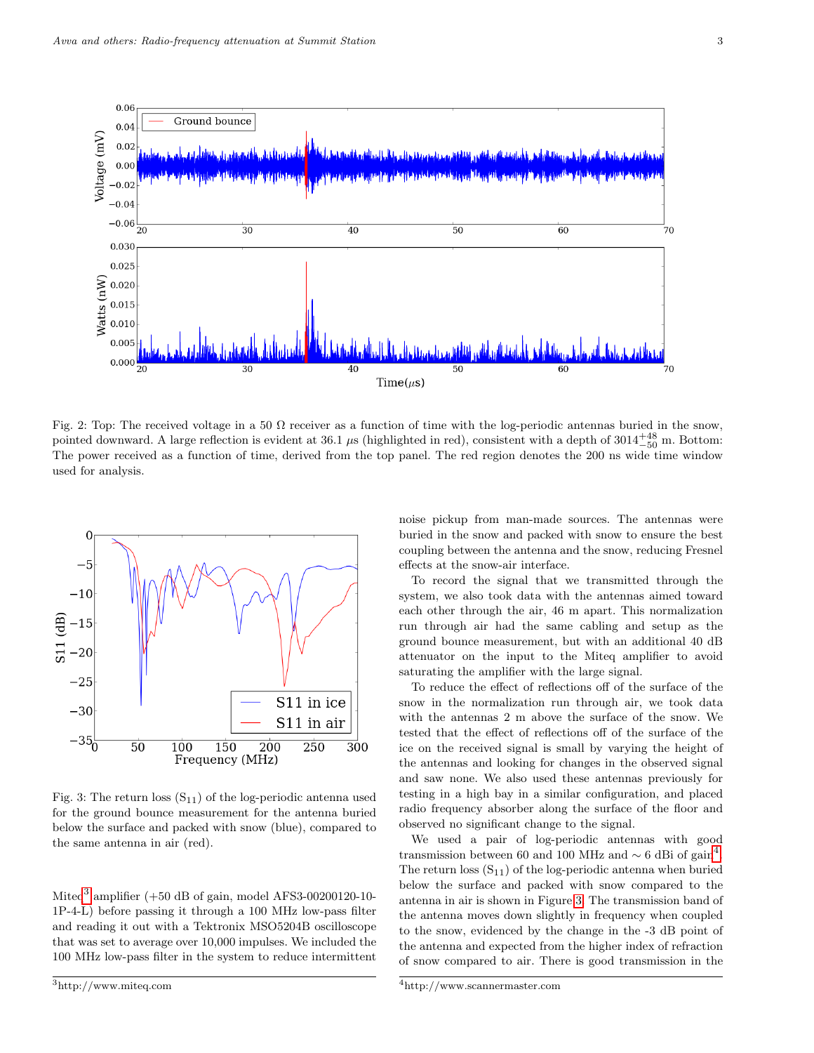<span id="page-2-3"></span>

Fig. 2: Top: The received voltage in a 50  $\Omega$  receiver as a function of time with the log-periodic antennas buried in the snow, pointed downward. A large reflection is evident at 36.1  $\mu$ s (highlighted in red), consistent with a depth of 3014<sup>+48</sup> m. Bottom: The power received as a function of time, derived from the top panel. The red region denotes the 200 ns wide time window used for analysis.

<span id="page-2-2"></span>

Fig. 3: The return loss  $(S_{11})$  of the log-periodic antenna used for the ground bounce measurement for the antenna buried below the surface and packed with snow (blue), compared to the same antenna in air (red).

Miteq<sup>[3](#page-2-0)</sup> amplifier (+50 dB of gain, model AFS3-00200120-10-1P-4-L) before passing it through a 100 MHz low-pass filter and reading it out with a Tektronix MSO5204B oscilloscope that was set to average over 10,000 impulses. We included the 100 MHz low-pass filter in the system to reduce intermittent noise pickup from man-made sources. The antennas were buried in the snow and packed with snow to ensure the best coupling between the antenna and the snow, reducing Fresnel effects at the snow-air interface.

To record the signal that we transmitted through the system, we also took data with the antennas aimed toward each other through the air, 46 m apart. This normalization run through air had the same cabling and setup as the ground bounce measurement, but with an additional 40 dB attenuator on the input to the Miteq amplifier to avoid saturating the amplifier with the large signal.

To reduce the effect of reflections off of the surface of the snow in the normalization run through air, we took data with the antennas 2 m above the surface of the snow. We tested that the effect of reflections off of the surface of the ice on the received signal is small by varying the height of the antennas and looking for changes in the observed signal and saw none. We also used these antennas previously for testing in a high bay in a similar configuration, and placed radio frequency absorber along the surface of the floor and observed no significant change to the signal.

We used a pair of log-periodic antennas with good transmission between 60 and 100 MHz and  $\sim$  6 dBi of gain<sup>[4](#page-2-1)</sup>. The return loss  $(S_{11})$  of the log-periodic antenna when buried below the surface and packed with snow compared to the antenna in air is shown in Figure [3.](#page-2-2) The transmission band of the antenna moves down slightly in frequency when coupled to the snow, evidenced by the change in the -3 dB point of the antenna and expected from the higher index of refraction of snow compared to air. There is good transmission in the

<span id="page-2-0"></span><sup>3</sup>http://www.miteq.com

<span id="page-2-1"></span><sup>4</sup>http://www.scannermaster.com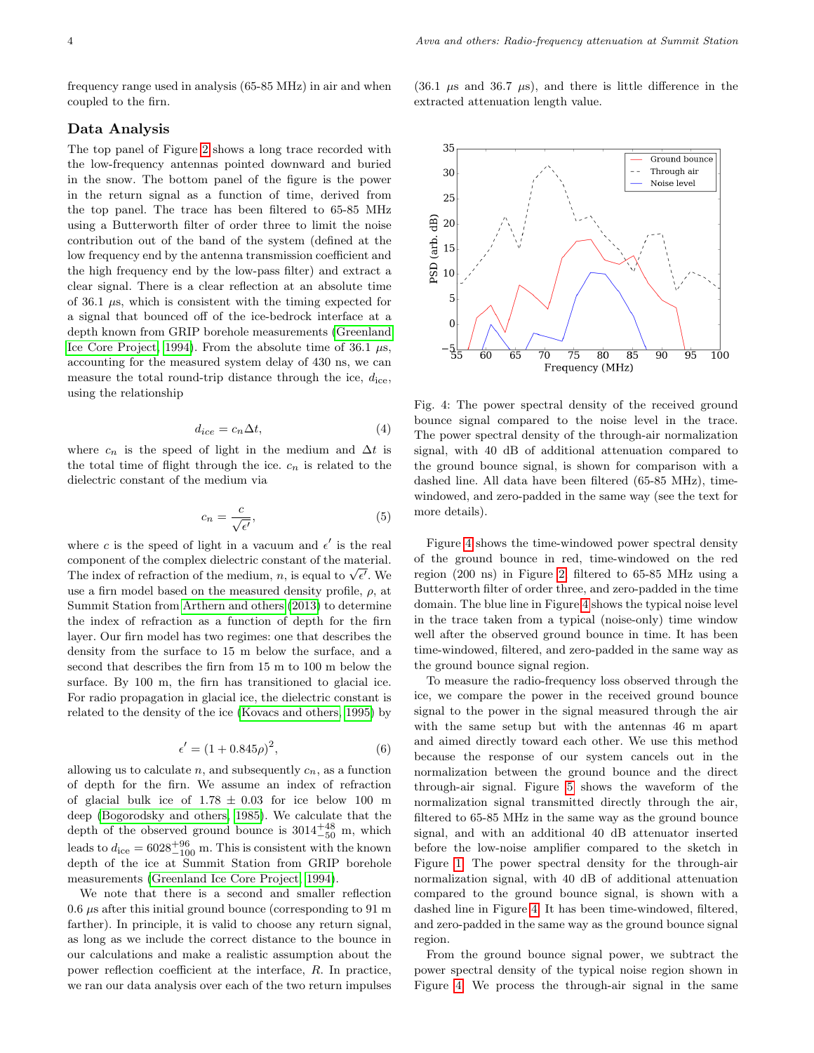frequency range used in analysis (65-85 MHz) in air and when coupled to the firn.

#### Data Analysis

The top panel of Figure [2](#page-2-3) shows a long trace recorded with the low-frequency antennas pointed downward and buried in the snow. The bottom panel of the figure is the power in the return signal as a function of time, derived from the top panel. The trace has been filtered to 65-85 MHz using a Butterworth filter of order three to limit the noise contribution out of the band of the system (defined at the low frequency end by the antenna transmission coefficient and the high frequency end by the low-pass filter) and extract a clear signal. There is a clear reflection at an absolute time of 36.1  $\mu$ s, which is consistent with the timing expected for a signal that bounced off of the ice-bedrock interface at a depth known from GRIP borehole measurements [\(Greenland](#page-7-8) [Ice Core Project, 1994\)](#page-7-8). From the absolute time of 36.1  $\mu$ s, accounting for the measured system delay of 430 ns, we can measure the total round-trip distance through the ice,  $d_{\text{ice}}$ , using the relationship

$$
d_{ice} = c_n \Delta t,\tag{4}
$$

where  $c_n$  is the speed of light in the medium and  $\Delta t$  is the total time of flight through the ice.  $c_n$  is related to the dielectric constant of the medium via

$$
c_n = \frac{c}{\sqrt{\epsilon'}}\tag{5}
$$

where c is the speed of light in a vacuum and  $\epsilon'$  is the real component of the complex dielectric constant of the material. component or the complex dielectric constant of the material.<br>The index of refraction of the medium, n, is equal to  $\sqrt{\epsilon'}$ . We use a firn model based on the measured density profile,  $\rho$ , at Summit Station from [Arthern and others](#page-6-8) [\(2013\)](#page-6-8) to determine the index of refraction as a function of depth for the firn layer. Our firn model has two regimes: one that describes the density from the surface to 15 m below the surface, and a second that describes the firn from 15 m to 100 m below the surface. By 100 m, the firn has transitioned to glacial ice. For radio propagation in glacial ice, the dielectric constant is related to the density of the ice [\(Kovacs and others, 1995\)](#page-7-9) by

$$
\epsilon' = (1 + 0.845\rho)^2,\tag{6}
$$

allowing us to calculate  $n$ , and subsequently  $c_n$ , as a function of depth for the firn. We assume an index of refraction of glacial bulk ice of  $1.78 \pm 0.03$  for ice below 100 m deep [\(Bogorodsky and others, 1985\)](#page-6-2). We calculate that the depth of the observed ground bounce is  $3014^{+48}_{-50}$  m, which leads to  $d_{\text{ice}} = 6028_{-100}^{+96}$  m. This is consistent with the known depth of the ice at Summit Station from GRIP borehole measurements [\(Greenland Ice Core Project, 1994\)](#page-7-8).

We note that there is a second and smaller reflection  $0.6 \mu s$  after this initial ground bounce (corresponding to 91 m) farther). In principle, it is valid to choose any return signal, as long as we include the correct distance to the bounce in our calculations and make a realistic assumption about the power reflection coefficient at the interface, R. In practice, we ran our data analysis over each of the two return impulses  $(36.1 \mu s$  and  $36.7 \mu s)$ , and there is little difference in the extracted attenuation length value.

<span id="page-3-0"></span>

Fig. 4: The power spectral density of the received ground bounce signal compared to the noise level in the trace. The power spectral density of the through-air normalization signal, with 40 dB of additional attenuation compared to the ground bounce signal, is shown for comparison with a dashed line. All data have been filtered (65-85 MHz), timewindowed, and zero-padded in the same way (see the text for more details).

Figure [4](#page-3-0) shows the time-windowed power spectral density of the ground bounce in red, time-windowed on the red region (200 ns) in Figure [2,](#page-2-3) filtered to 65-85 MHz using a Butterworth filter of order three, and zero-padded in the time domain. The blue line in Figure [4](#page-3-0) shows the typical noise level in the trace taken from a typical (noise-only) time window well after the observed ground bounce in time. It has been time-windowed, filtered, and zero-padded in the same way as the ground bounce signal region.

To measure the radio-frequency loss observed through the ice, we compare the power in the received ground bounce signal to the power in the signal measured through the air with the same setup but with the antennas 46 m apart and aimed directly toward each other. We use this method because the response of our system cancels out in the normalization between the ground bounce and the direct through-air signal. Figure [5](#page-4-0) shows the waveform of the normalization signal transmitted directly through the air, filtered to 65-85 MHz in the same way as the ground bounce signal, and with an additional 40 dB attenuator inserted before the low-noise amplifier compared to the sketch in Figure [1.](#page-1-0) The power spectral density for the through-air normalization signal, with 40 dB of additional attenuation compared to the ground bounce signal, is shown with a dashed line in Figure [4.](#page-3-0) It has been time-windowed, filtered, and zero-padded in the same way as the ground bounce signal region.

From the ground bounce signal power, we subtract the power spectral density of the typical noise region shown in Figure [4.](#page-3-0) We process the through-air signal in the same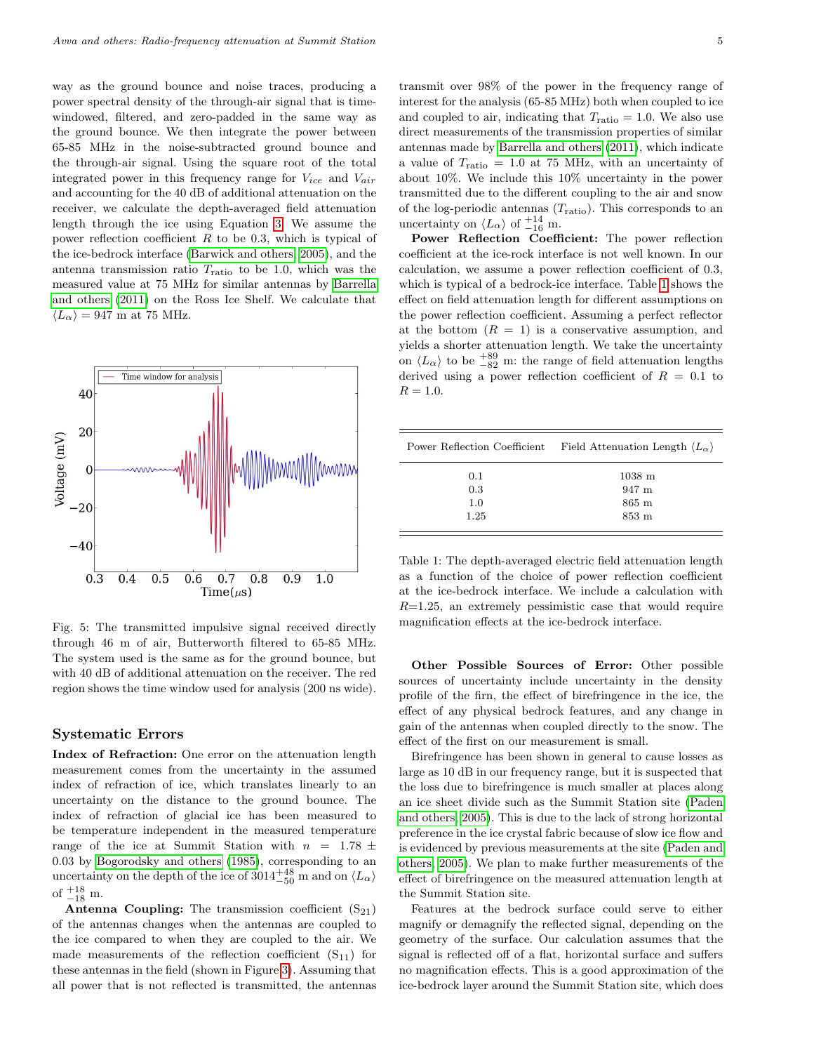way as the ground bounce and noise traces, producing a power spectral density of the through-air signal that is timewindowed, filtered, and zero-padded in the same way as the ground bounce. We then integrate the power between 65-85 MHz in the noise-subtracted ground bounce and the through-air signal. Using the square root of the total integrated power in this frequency range for  $V_{ice}$  and  $V_{air}$ and accounting for the 40 dB of additional attenuation on the receiver, we calculate the depth-averaged field attenuation length through the ice using Equation [3.](#page-1-3) We assume the power reflection coefficient  $R$  to be 0.3, which is typical of the ice-bedrock interface [\(Barwick and others, 2005\)](#page-6-5), and the antenna transmission ratio  $T_{\text{ratio}}$  to be 1.0, which was the measured value at 75 MHz for similar antennas by [Barrella](#page-6-7) [and others](#page-6-7) [\(2011\)](#page-6-7) on the Ross Ice Shelf. We calculate that  $\langle L_{\alpha} \rangle = 947$  m at 75 MHz.

<span id="page-4-0"></span>

Fig. 5: The transmitted impulsive signal received directly through 46 m of air, Butterworth filtered to 65-85 MHz. The system used is the same as for the ground bounce, but with 40 dB of additional attenuation on the receiver. The red region shows the time window used for analysis (200 ns wide).

#### Systematic Errors

Index of Refraction: One error on the attenuation length measurement comes from the uncertainty in the assumed index of refraction of ice, which translates linearly to an uncertainty on the distance to the ground bounce. The index of refraction of glacial ice has been measured to be temperature independent in the measured temperature range of the ice at Summit Station with  $n = 1.78 \pm$ 0.03 by [Bogorodsky and others](#page-6-2) [\(1985\)](#page-6-2), corresponding to an uncertainty on the depth of the ice of  $3014^{+48}_{-50}$  m and on  $\langle L_{\alpha} \rangle$ of  $^{+18}_{-18}$  m.

**Antenna Coupling:** The transmission coefficient  $(S_{21})$ of the antennas changes when the antennas are coupled to the ice compared to when they are coupled to the air. We made measurements of the reflection coefficient  $(S_{11})$  for these antennas in the field (shown in Figure [3\)](#page-2-2). Assuming that all power that is not reflected is transmitted, the antennas transmit over 98% of the power in the frequency range of interest for the analysis (65-85 MHz) both when coupled to ice and coupled to air, indicating that  $T_{\text{ratio}} = 1.0$ . We also use direct measurements of the transmission properties of similar antennas made by [Barrella and others](#page-6-7) [\(2011\)](#page-6-7), which indicate a value of  $T_{\text{ratio}} = 1.0$  at 75 MHz, with an uncertainty of about 10%. We include this 10% uncertainty in the power transmitted due to the different coupling to the air and snow of the log-periodic antennas  $(T_{\text{ratio}})$ . This corresponds to an uncertainty on  $\langle L_{\alpha} \rangle$  of  $^{+14}_{-16}$  m.

Power Reflection Coefficient: The power reflection coefficient at the ice-rock interface is not well known. In our calculation, we assume a power reflection coefficient of 0.3, which is typical of a bedrock-ice interface. Table [1](#page-4-1) shows the effect on field attenuation length for different assumptions on the power reflection coefficient. Assuming a perfect reflector at the bottom  $(R = 1)$  is a conservative assumption, and yields a shorter attenuation length. We take the uncertainty on  $\langle L_{\alpha} \rangle$  to be  $^{+89}_{-82}$  m: the range of field attenuation lengths derived using a power reflection coefficient of  $R = 0.1$  to  $R = 1.0.$ 

<span id="page-4-1"></span>

| Power Reflection Coefficient | Field Attenuation Length $\langle L_{\alpha} \rangle$ |
|------------------------------|-------------------------------------------------------|
| 0.1                          | $1038$ m                                              |
| 0.3                          | 947 m                                                 |
| 1.0                          | $865 \text{ m}$                                       |
| 1.25                         | $853 \; \mathrm{m}$                                   |
|                              |                                                       |

Table 1: The depth-averaged electric field attenuation length as a function of the choice of power reflection coefficient at the ice-bedrock interface. We include a calculation with  $R=1.25$ , an extremely pessimistic case that would require magnification effects at the ice-bedrock interface.

Other Possible Sources of Error: Other possible sources of uncertainty include uncertainty in the density profile of the firn, the effect of birefringence in the ice, the effect of any physical bedrock features, and any change in gain of the antennas when coupled directly to the snow. The effect of the first on our measurement is small.

Birefringence has been shown in general to cause losses as large as 10 dB in our frequency range, but it is suspected that the loss due to birefringence is much smaller at places along an ice sheet divide such as the Summit Station site [\(Paden](#page-7-6) [and others, 2005\)](#page-7-6). This is due to the lack of strong horizontal preference in the ice crystal fabric because of slow ice flow and is evidenced by previous measurements at the site [\(Paden and](#page-7-6) [others, 2005\)](#page-7-6). We plan to make further measurements of the effect of birefringence on the measured attenuation length at the Summit Station site.

Features at the bedrock surface could serve to either magnify or demagnify the reflected signal, depending on the geometry of the surface. Our calculation assumes that the signal is reflected off of a flat, horizontal surface and suffers no magnification effects. This is a good approximation of the ice-bedrock layer around the Summit Station site, which does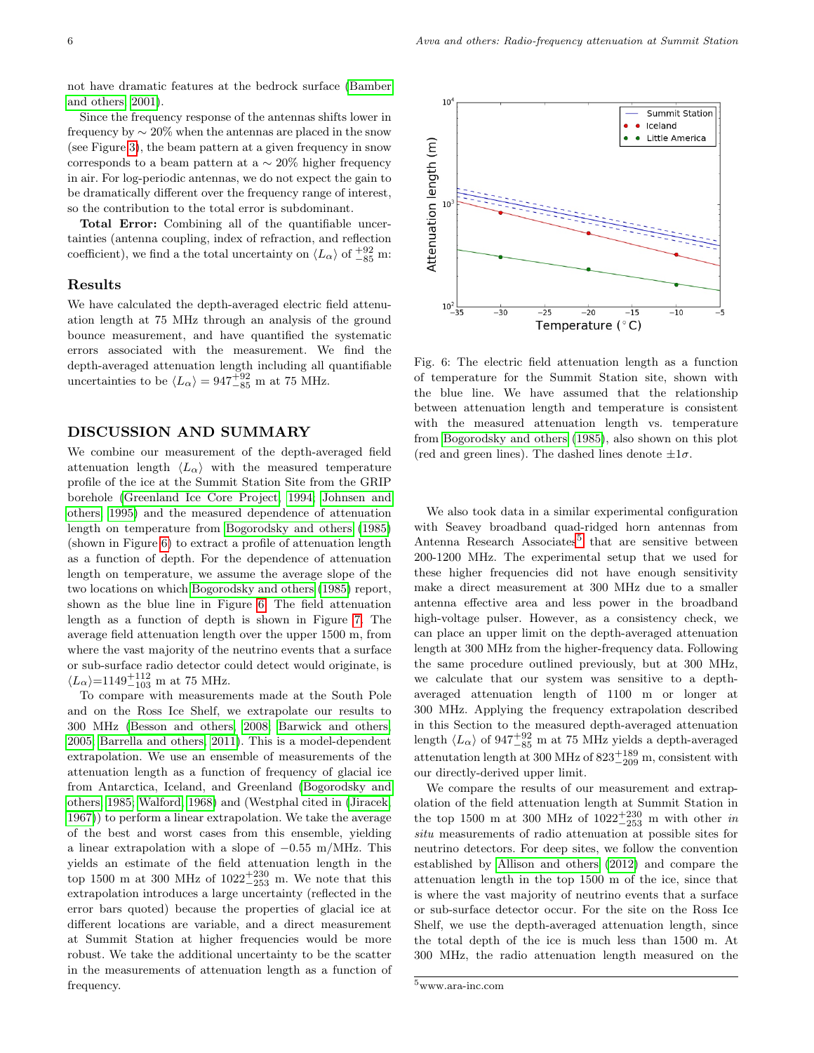not have dramatic features at the bedrock surface [\(Bamber](#page-6-9) [and others, 2001\)](#page-6-9).

Since the frequency response of the antennas shifts lower in frequency by ∼ 20% when the antennas are placed in the snow (see Figure [3\)](#page-2-2), the beam pattern at a given frequency in snow corresponds to a beam pattern at a  $\sim$  20% higher frequency in air. For log-periodic antennas, we do not expect the gain to be dramatically different over the frequency range of interest, so the contribution to the total error is subdominant.

Total Error: Combining all of the quantifiable uncertainties (antenna coupling, index of refraction, and reflection coefficient), we find a the total uncertainty on  $\langle L_{\alpha} \rangle$  of  $^{+92}_{-85}$  m:

#### Results

We have calculated the depth-averaged electric field attenuation length at 75 MHz through an analysis of the ground bounce measurement, and have quantified the systematic errors associated with the measurement. We find the depth-averaged attenuation length including all quantifiable uncertainties to be  $\langle L_{\alpha} \rangle = 947^{+92}_{-85}$  m at 75 MHz.

## DISCUSSION AND SUMMARY

We combine our measurement of the depth-averaged field attenuation length  $\langle L_{\alpha} \rangle$  with the measured temperature profile of the ice at the Summit Station Site from the GRIP borehole [\(Greenland Ice Core Project, 1994;](#page-7-8) [Johnsen and](#page-7-10) [others, 1995\)](#page-7-10) and the measured dependence of attenuation length on temperature from [Bogorodsky and others](#page-6-2) [\(1985\)](#page-6-2) (shown in Figure [6\)](#page-5-0) to extract a profile of attenuation length as a function of depth. For the dependence of attenuation length on temperature, we assume the average slope of the two locations on which [Bogorodsky and others](#page-6-2) [\(1985\)](#page-6-2) report, shown as the blue line in Figure [6.](#page-5-0) The field attenuation length as a function of depth is shown in Figure [7.](#page-6-10) The average field attenuation length over the upper 1500 m, from where the vast majority of the neutrino events that a surface or sub-surface radio detector could detect would originate, is  $\langle L_{\alpha} \rangle$ =1149<sup>+112</sup><sub>-103</sub> m at 75 MHz.

To compare with measurements made at the South Pole and on the Ross Ice Shelf, we extrapolate our results to 300 MHz [\(Besson and others, 2008;](#page-6-6) [Barwick and others,](#page-6-5) [2005;](#page-6-5) [Barrella and others, 2011\)](#page-6-7). This is a model-dependent extrapolation. We use an ensemble of measurements of the attenuation length as a function of frequency of glacial ice from Antarctica, Iceland, and Greenland [\(Bogorodsky and](#page-6-2) [others, 1985;](#page-6-2) [Walford, 1968\)](#page-7-11) and (Westphal cited in [\(Jiracek,](#page-7-12) [1967\)](#page-7-12)) to perform a linear extrapolation. We take the average of the best and worst cases from this ensemble, yielding a linear extrapolation with a slope of −0.55 m/MHz. This yields an estimate of the field attenuation length in the top 1500 m at 300 MHz of  $1022^{+230}_{-253}$  m. We note that this extrapolation introduces a large uncertainty (reflected in the error bars quoted) because the properties of glacial ice at different locations are variable, and a direct measurement at Summit Station at higher frequencies would be more robust. We take the additional uncertainty to be the scatter in the measurements of attenuation length as a function of frequency.

<span id="page-5-0"></span>

Fig. 6: The electric field attenuation length as a function of temperature for the Summit Station site, shown with the blue line. We have assumed that the relationship between attenuation length and temperature is consistent with the measured attenuation length vs. temperature from [Bogorodsky and others](#page-6-2) [\(1985\)](#page-6-2), also shown on this plot (red and green lines). The dashed lines denote  $\pm 1\sigma$ .

We also took data in a similar experimental configuration with Seavey broadband quad-ridged horn antennas from Antenna Research Associates<sup>[5](#page-5-1)</sup> that are sensitive between 200-1200 MHz. The experimental setup that we used for these higher frequencies did not have enough sensitivity make a direct measurement at 300 MHz due to a smaller antenna effective area and less power in the broadband high-voltage pulser. However, as a consistency check, we can place an upper limit on the depth-averaged attenuation length at 300 MHz from the higher-frequency data. Following the same procedure outlined previously, but at 300 MHz, we calculate that our system was sensitive to a depthaveraged attenuation length of 1100 m or longer at 300 MHz. Applying the frequency extrapolation described in this Section to the measured depth-averaged attenuation length  $\langle L_{\alpha} \rangle$  of 947<sup>+92</sup>/<sub>-85</sub> m at 75 MHz yields a depth-averaged attenutation length at 300 MHz of  $823^{+189}_{-209}$  m, consistent with our directly-derived upper limit.

We compare the results of our measurement and extrapolation of the field attenuation length at Summit Station in the top 1500 m at 300 MHz of  $1022^{+230}_{-253}$  m with other *in* situ measurements of radio attenuation at possible sites for neutrino detectors. For deep sites, we follow the convention established by [Allison and others](#page-6-1) [\(2012\)](#page-6-1) and compare the attenuation length in the top 1500 m of the ice, since that is where the vast majority of neutrino events that a surface or sub-surface detector occur. For the site on the Ross Ice Shelf, we use the depth-averaged attenuation length, since the total depth of the ice is much less than 1500 m. At 300 MHz, the radio attenuation length measured on the

<span id="page-5-1"></span> $^5\rm{www.ara-inc.com}$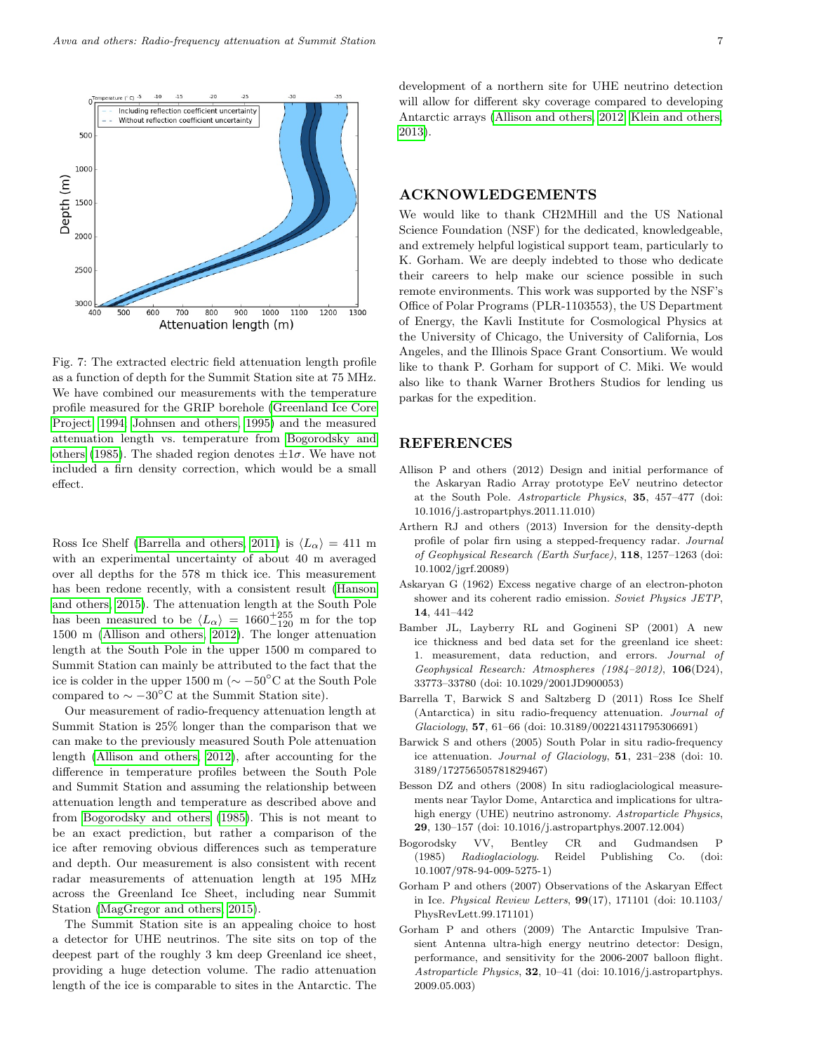<span id="page-6-10"></span>

Fig. 7: The extracted electric field attenuation length profile as a function of depth for the Summit Station site at 75 MHz. We have combined our measurements with the temperature profile measured for the GRIP borehole [\(Greenland Ice Core](#page-7-8) [Project, 1994;](#page-7-8) [Johnsen and others, 1995\)](#page-7-10) and the measured attenuation length vs. temperature from [Bogorodsky and](#page-6-2) [others](#page-6-2) [\(1985\)](#page-6-2). The shaded region denotes  $\pm 1\sigma$ . We have not included a firn density correction, which would be a small effect.

Ross Ice Shelf [\(Barrella and others, 2011\)](#page-6-7) is  $\langle L_{\alpha} \rangle = 411$  m with an experimental uncertainty of about 40 m averaged over all depths for the 578 m thick ice. This measurement has been redone recently, with a consistent result [\(Hanson](#page-7-5) [and others, 2015\)](#page-7-5). The attenuation length at the South Pole has been measured to be  $\langle L_{\alpha} \rangle = 1660^{+255}_{-120}$  m for the top 1500 m [\(Allison and others, 2012\)](#page-6-1). The longer attenuation length at the South Pole in the upper 1500 m compared to Summit Station can mainly be attributed to the fact that the ice is colder in the upper 1500 m ( $\sim -50$ °C at the South Pole compared to  $\sim -30^{\circ}$ C at the Summit Station site).

Our measurement of radio-frequency attenuation length at Summit Station is 25% longer than the comparison that we can make to the previously measured South Pole attenuation length [\(Allison and others, 2012\)](#page-6-1), after accounting for the difference in temperature profiles between the South Pole and Summit Station and assuming the relationship between attenuation length and temperature as described above and from [Bogorodsky and others](#page-6-2) [\(1985\)](#page-6-2). This is not meant to be an exact prediction, but rather a comparison of the ice after removing obvious differences such as temperature and depth. Our measurement is also consistent with recent radar measurements of attenuation length at 195 MHz across the Greenland Ice Sheet, including near Summit Station [\(MagGregor and others, 2015\)](#page-7-7).

The Summit Station site is an appealing choice to host a detector for UHE neutrinos. The site sits on top of the deepest part of the roughly 3 km deep Greenland ice sheet, providing a huge detection volume. The radio attenuation length of the ice is comparable to sites in the Antarctic. The development of a northern site for UHE neutrino detection will allow for different sky coverage compared to developing Antarctic arrays [\(Allison and others, 2012;](#page-6-1) [Klein and others,](#page-7-2) [2013\)](#page-7-2).

### ACKNOWLEDGEMENTS

We would like to thank CH2MHill and the US National Science Foundation (NSF) for the dedicated, knowledgeable, and extremely helpful logistical support team, particularly to K. Gorham. We are deeply indebted to those who dedicate their careers to help make our science possible in such remote environments. This work was supported by the NSF's Office of Polar Programs (PLR-1103553), the US Department of Energy, the Kavli Institute for Cosmological Physics at the University of Chicago, the University of California, Los Angeles, and the Illinois Space Grant Consortium. We would like to thank P. Gorham for support of C. Miki. We would also like to thank Warner Brothers Studios for lending us parkas for the expedition.

#### REFERENCES

- <span id="page-6-1"></span>Allison P and others (2012) Design and initial performance of the Askaryan Radio Array prototype EeV neutrino detector at the South Pole. Astroparticle Physics, 35, 457–477 (doi: 10.1016/j.astropartphys.2011.11.010)
- <span id="page-6-8"></span>Arthern RJ and others (2013) Inversion for the density-depth profile of polar firn using a stepped-frequency radar. Journal of Geophysical Research (Earth Surface), 118, 1257–1263 (doi: 10.1002/jgrf.20089)
- <span id="page-6-3"></span>Askaryan G (1962) Excess negative charge of an electron-photon shower and its coherent radio emission. Soviet Physics JETP, 14, 441–442
- <span id="page-6-9"></span>Bamber JL, Layberry RL and Gogineni SP (2001) A new ice thickness and bed data set for the greenland ice sheet: 1. measurement, data reduction, and errors. Journal of Geophysical Research: Atmospheres (1984–2012), 106(D24), 33773–33780 (doi: 10.1029/2001JD900053)
- <span id="page-6-7"></span>Barrella T, Barwick S and Saltzberg D (2011) Ross Ice Shelf (Antarctica) in situ radio-frequency attenuation. Journal of Glaciology, 57, 61–66 (doi: 10.3189/002214311795306691)
- <span id="page-6-5"></span>Barwick S and others (2005) South Polar in situ radio-frequency ice attenuation. Journal of Glaciology, 51, 231–238 (doi: 10. 3189/172756505781829467)
- <span id="page-6-6"></span>Besson DZ and others (2008) In situ radioglaciological measurements near Taylor Dome, Antarctica and implications for ultrahigh energy (UHE) neutrino astronomy. Astroparticle Physics, 29, 130–157 (doi: 10.1016/j.astropartphys.2007.12.004)
- <span id="page-6-2"></span>Bogorodsky VV, Bentley CR and Gudmandsen P (1985) Radioglaciology. Reidel Publishing Co. (doi: 10.1007/978-94-009-5275-1)
- <span id="page-6-4"></span>Gorham P and others (2007) Observations of the Askaryan Effect in Ice. Physical Review Letters, 99(17), 171101 (doi: 10.1103/ PhysRevLett.99.171101)
- <span id="page-6-0"></span>Gorham P and others (2009) The Antarctic Impulsive Transient Antenna ultra-high energy neutrino detector: Design, performance, and sensitivity for the 2006-2007 balloon flight. Astroparticle Physics, 32, 10–41 (doi: 10.1016/j.astropartphys. 2009.05.003)